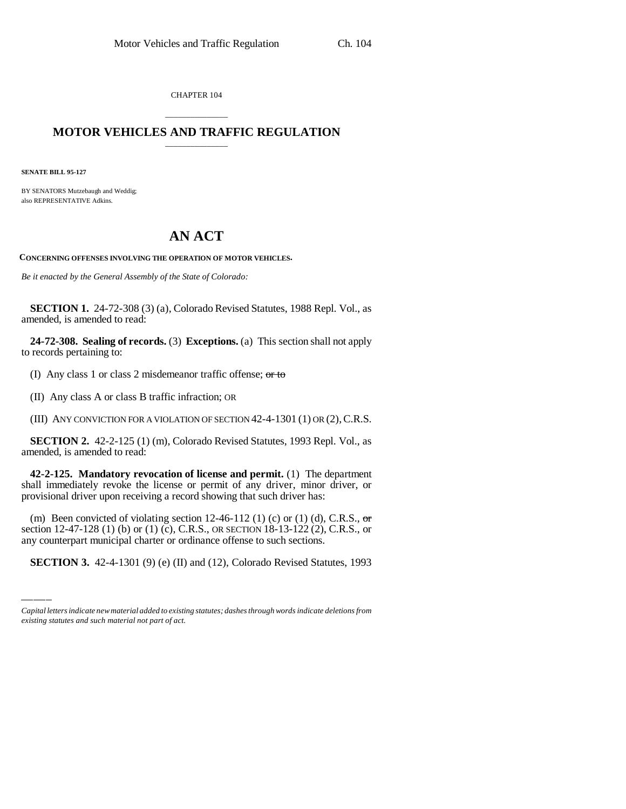CHAPTER 104

## \_\_\_\_\_\_\_\_\_\_\_\_\_\_\_ **MOTOR VEHICLES AND TRAFFIC REGULATION** \_\_\_\_\_\_\_\_\_\_\_\_\_\_\_

**SENATE BILL 95-127**

BY SENATORS Mutzebaugh and Weddig; also REPRESENTATIVE Adkins.

## **AN ACT**

**CONCERNING OFFENSES INVOLVING THE OPERATION OF MOTOR VEHICLES.**

*Be it enacted by the General Assembly of the State of Colorado:*

**SECTION 1.** 24-72-308 (3) (a), Colorado Revised Statutes, 1988 Repl. Vol., as amended, is amended to read:

**24-72-308. Sealing of records.** (3) **Exceptions.** (a) This section shall not apply to records pertaining to:

(I) Any class 1 or class 2 misdemeanor traffic offense;  $\sigma$ r to

(II) Any class A or class B traffic infraction; OR

(III) ANY CONVICTION FOR A VIOLATION OF SECTION  $42-4-1301$  (1) OR (2), C.R.S.

**SECTION 2.** 42-2-125 (1) (m), Colorado Revised Statutes, 1993 Repl. Vol., as amended, is amended to read:

**42-2-125. Mandatory revocation of license and permit.** (1) The department shall immediately revoke the license or permit of any driver, minor driver, or provisional driver upon receiving a record showing that such driver has:

(ii) been convicted of violating section  $12-46-112$  (1) (c) or (1) (d), C.R.S., or section  $12-47-128$  (1) (b) or (1) (c), C.R.S., or section  $18-13-122$  (2), C.R.S., or (m) Been convicted of violating section 12-46-112 (1) (c) or (1) (d), C.R.S.,  $\sigma$ r any counterpart municipal charter or ordinance offense to such sections.

**SECTION 3.** 42-4-1301 (9) (e) (II) and (12), Colorado Revised Statutes, 1993

*Capital letters indicate new material added to existing statutes; dashes through words indicate deletions from existing statutes and such material not part of act.*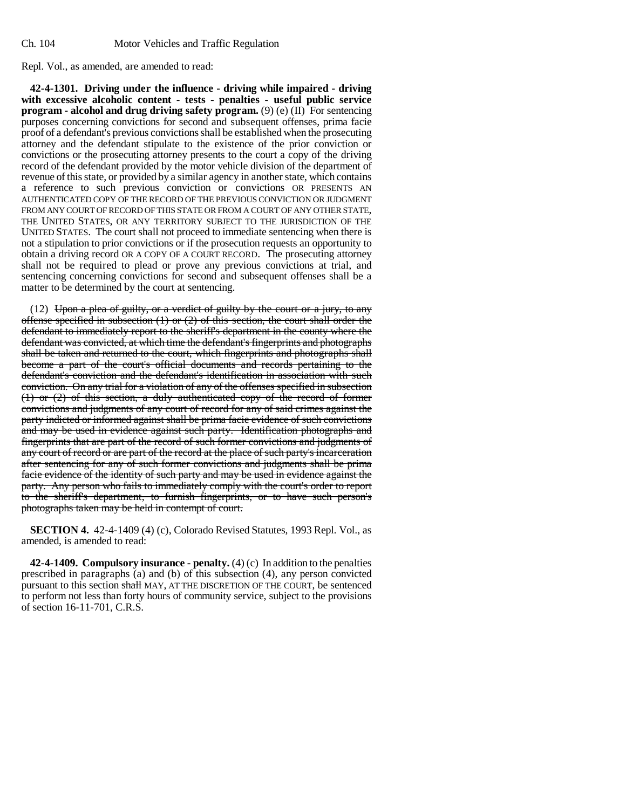Repl. Vol., as amended, are amended to read:

**42-4-1301. Driving under the influence - driving while impaired - driving with excessive alcoholic content - tests - penalties - useful public service program - alcohol and drug driving safety program.** (9) (e) (II) For sentencing purposes concerning convictions for second and subsequent offenses, prima facie proof of a defendant's previous convictions shall be established when the prosecuting attorney and the defendant stipulate to the existence of the prior conviction or convictions or the prosecuting attorney presents to the court a copy of the driving record of the defendant provided by the motor vehicle division of the department of revenue of this state, or provided by a similar agency in another state, which contains a reference to such previous conviction or convictions OR PRESENTS AN AUTHENTICATED COPY OF THE RECORD OF THE PREVIOUS CONVICTION OR JUDGMENT FROM ANY COURT OF RECORD OF THIS STATE OR FROM A COURT OF ANY OTHER STATE, THE UNITED STATES, OR ANY TERRITORY SUBJECT TO THE JURISDICTION OF THE UNITED STATES. The court shall not proceed to immediate sentencing when there is not a stipulation to prior convictions or if the prosecution requests an opportunity to obtain a driving record OR A COPY OF A COURT RECORD. The prosecuting attorney shall not be required to plead or prove any previous convictions at trial, and sentencing concerning convictions for second and subsequent offenses shall be a matter to be determined by the court at sentencing.

(12) Upon a plea of guilty, or a verdict of guilty by the court or a jury, to any offense specified in subsection  $(1)$  or  $(2)$  of this section, the court shall order the defendant to immediately report to the sheriff's department in the county where the defendant was convicted, at which time the defendant's fingerprints and photographs shall be taken and returned to the court, which fingerprints and photographs shall become a part of the court's official documents and records pertaining to the defendant's conviction and the defendant's identification in association with such conviction. On any trial for a violation of any of the offenses specified in subsection (1) or (2) of this section, a duly authenticated copy of the record of former convictions and judgments of any court of record for any of said crimes against the party indicted or informed against shall be prima facie evidence of such convictions and may be used in evidence against such party. Identification photographs and fingerprints that are part of the record of such former convictions and judgments of any court of record or are part of the record at the place of such party's incarceration after sentencing for any of such former convictions and judgments shall be prima facie evidence of the identity of such party and may be used in evidence against the party. Any person who fails to immediately comply with the court's order to report to the sheriff's department, to furnish fingerprints, or to have such person's photographs taken may be held in contempt of court.

**SECTION 4.** 42-4-1409 (4) (c), Colorado Revised Statutes, 1993 Repl. Vol., as amended, is amended to read:

**42-4-1409. Compulsory insurance - penalty.** (4) (c) In addition to the penalties prescribed in paragraphs (a) and (b) of this subsection (4), any person convicted pursuant to this section shall MAY, AT THE DISCRETION OF THE COURT, be sentenced to perform not less than forty hours of community service, subject to the provisions of section 16-11-701, C.R.S.